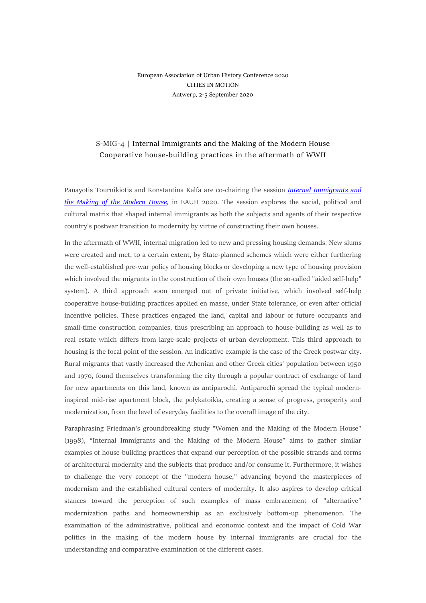## European Association of Urban History Conference 2020 CITIES IN MOTION Antwerp, 2-5 September 2020

## S-MIG-4 | Internal Immigrants and the Making of the Modern House Cooperative house-building practices in the aftermath of WWII

Panayotis Tournikiotis and Konstantina Kalfa are co-chairing the session *[Internal Immigrants and](https://www.uantwerpen.be/en/conferences/eauh2020/sessions/sessions-overview/session-type/specialist-sessions/)  [the Making of the Modern House,](https://www.uantwerpen.be/en/conferences/eauh2020/sessions/sessions-overview/session-type/specialist-sessions/)* in EAUH 2020. The session explores the social, political and cultural matrix that shaped internal immigrants as both the subjects and agents of their respective country's postwar transition to modernity by virtue of constructing their own houses.

In the aftermath of WWII, internal migration led to new and pressing housing demands. New slums were created and met, to a certain extent, by State-planned schemes which were either furthering the well-established pre-war policy of housing blocks or developing a new type of housing provision which involved the migrants in the construction of their own houses (the so-called "aided self-help" system). A third approach soon emerged out of private initiative, which involved self-help cooperative house-building practices applied en masse, under State tolerance, or even after official incentive policies. These practices engaged the land, capital and labour of future occupants and small-time construction companies, thus prescribing an approach to house-building as well as to real estate which differs from large-scale projects of urban development. This third approach to housing is the focal point of the session. An indicative example is the case of the Greek postwar city. Rural migrants that vastly increased the Athenian and other Greek cities' population between 1950 and 1970, found themselves transforming the city through a popular contract of exchange of land for new apartments on this land, known as antiparochì. Antiparochì spread the typical moderninspired mid-rise apartment block, the polykatoikìa, creating a sense of progress, prosperity and modernization, from the level of everyday facilities to the overall image of the city.

Paraphrasing Friedman's groundbreaking study "Women and the Making of the Modern House" (1998), "Internal Immigrants and the Making of the Modern House" aims to gather similar examples of house-building practices that expand our perception of the possible strands and forms of architectural modernity and the subjects that produce and/or consume it. Furthermore, it wishes to challenge the very concept of the "modern house," advancing beyond the masterpieces of modernism and the established cultural centers of modernity. It also aspires to develop critical stances toward the perception of such examples of mass embracement of "alternative" modernization paths and homeownership as an exclusively bottom-up phenomenon. The examination of the administrative, political and economic context and the impact of Cold War politics in the making of the modern house by internal immigrants are crucial for the understanding and comparative examination of the different cases.